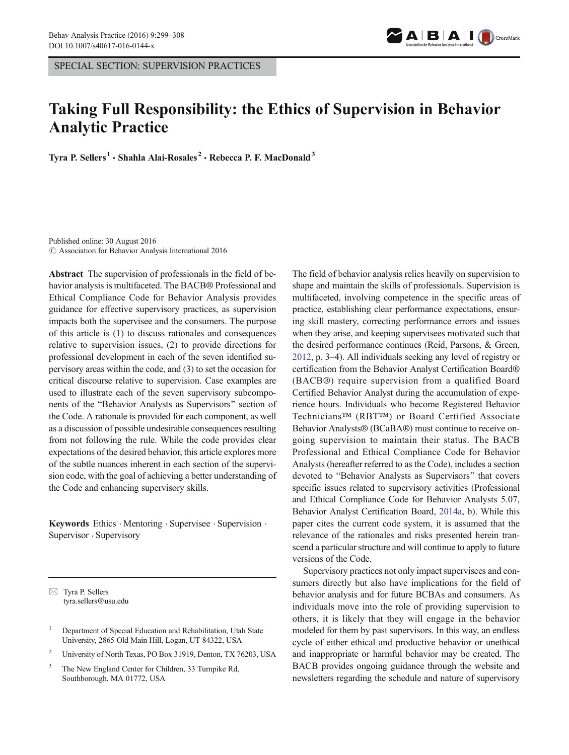SPECIAL SECTION: SUPERVISION PRACTICES

# $\blacktriangleleft$  A  $\blacktriangleright$  B  $\blacktriangleright$  A  $\blacktriangleright$   $\blacksquare$  CrossMark

# Taking Full Responsibility: the Ethics of Supervision in Behavior Analytic Practice

Tyra P. Sellers<sup>1</sup> · Shahla Alai-Rosales<sup>2</sup> · Rebecca P. F. MacDonald<sup>3</sup>

Published online: 30 August 2016  $\odot$  Association for Behavior Analysis International 2016

Abstract The supervision of professionals in the field of behavior analysis is multifaceted. The BACB® Professional and Ethical Compliance Code for Behavior Analysis provides guidance for effective supervisory practices, as supervision impacts both the supervisee and the consumers. The purpose of this article is (1) to discuss rationales and consequences relative to supervision issues, (2) to provide directions for professional development in each of the seven identified supervisory areas within the code, and (3) to set the occasion for critical discourse relative to supervision. Case examples are used to illustrate each of the seven supervisory subcomponents of the "Behavior Analysts as Supervisors" section of the Code. A rationale is provided for each component, as well as a discussion of possible undesirable consequences resulting from not following the rule. While the code provides clear expectations of the desired behavior, this article explores more of the subtle nuances inherent in each section of the supervision code, with the goal of achieving a better understanding of the Code and enhancing supervisory skills.

Keywords Ethics . Mentoring . Supervisee . Supervision . Supervisor . Supervisory

 $\boxtimes$  Tyra P. Sellers tyra.sellers@usu.edu

- <sup>1</sup> Department of Special Education and Rehabilitation, Utah State University, 2865 Old Main Hill, Logan, UT 84322, USA
- <sup>2</sup> University of North Texas, PO Box 31919, Denton, TX 76203, USA
- <sup>3</sup> The New England Center for Children, 33 Turnpike Rd, Southborough, MA 01772, USA

The field of behavior analysis relies heavily on supervision to shape and maintain the skills of professionals. Supervision is multifaceted, involving competence in the specific areas of practice, establishing clear performance expectations, ensuring skill mastery, correcting performance errors and issues when they arise, and keeping supervisees motivated such that the desired performance continues (Reid, Parsons, & Green, [2012,](#page-8-0) p. 3–4). All individuals seeking any level of registry or certification from the Behavior Analyst Certification Board® (BACB®) require supervision from a qualified Board Certified Behavior Analyst during the accumulation of experience hours. Individuals who become Registered Behavior Technicians™ (RBT™) or Board Certified Associate Behavior Analysts® (BCaBA®) must continue to receive ongoing supervision to maintain their status. The BACB Professional and Ethical Compliance Code for Behavior Analysts (hereafter referred to as the Code), includes a section devoted to "Behavior Analysts as Supervisors" that covers specific issues related to supervisory activities (Professional and Ethical Compliance Code for Behavior Analysts 5.07, Behavior Analyst Certification Board, [2014a,](#page-8-0) [b](#page-8-0)). While this paper cites the current code system, it is assumed that the relevance of the rationales and risks presented herein transcend a particular structure and will continue to apply to future versions of the Code.

Supervisory practices not only impact supervisees and consumers directly but also have implications for the field of behavior analysis and for future BCBAs and consumers. As individuals move into the role of providing supervision to others, it is likely that they will engage in the behavior modeled for them by past supervisors. In this way, an endless cycle of either ethical and productive behavior or unethical and inappropriate or harmful behavior may be created. The BACB provides ongoing guidance through the website and newsletters regarding the schedule and nature of supervisory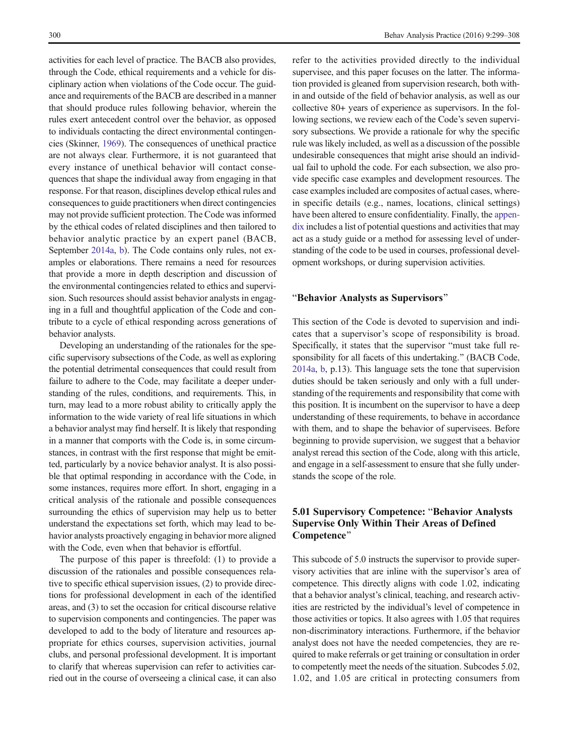activities for each level of practice. The BACB also provides, through the Code, ethical requirements and a vehicle for disciplinary action when violations of the Code occur. The guidance and requirements of the BACB are described in a manner that should produce rules following behavior, wherein the rules exert antecedent control over the behavior, as opposed to individuals contacting the direct environmental contingencies (Skinner, [1969\)](#page-9-0). The consequences of unethical practice are not always clear. Furthermore, it is not guaranteed that every instance of unethical behavior will contact consequences that shape the individual away from engaging in that response. For that reason, disciplines develop ethical rules and consequences to guide practitioners when direct contingencies may not provide sufficient protection. The Code was informed by the ethical codes of related disciplines and then tailored to behavior analytic practice by an expert panel (BACB, September [2014a](#page-8-0), [b\)](#page-8-0). The Code contains only rules, not examples or elaborations. There remains a need for resources that provide a more in depth description and discussion of the environmental contingencies related to ethics and supervision. Such resources should assist behavior analysts in engaging in a full and thoughtful application of the Code and contribute to a cycle of ethical responding across generations of behavior analysts.

Developing an understanding of the rationales for the specific supervisory subsections of the Code, as well as exploring the potential detrimental consequences that could result from failure to adhere to the Code, may facilitate a deeper understanding of the rules, conditions, and requirements. This, in turn, may lead to a more robust ability to critically apply the information to the wide variety of real life situations in which a behavior analyst may find herself. It is likely that responding in a manner that comports with the Code is, in some circumstances, in contrast with the first response that might be emitted, particularly by a novice behavior analyst. It is also possible that optimal responding in accordance with the Code, in some instances, requires more effort. In short, engaging in a critical analysis of the rationale and possible consequences surrounding the ethics of supervision may help us to better understand the expectations set forth, which may lead to behavior analysts proactively engaging in behavior more aligned with the Code, even when that behavior is effortful.

The purpose of this paper is threefold: (1) to provide a discussion of the rationales and possible consequences relative to specific ethical supervision issues, (2) to provide directions for professional development in each of the identified areas, and (3) to set the occasion for critical discourse relative to supervision components and contingencies. The paper was developed to add to the body of literature and resources appropriate for ethics courses, supervision activities, journal clubs, and personal professional development. It is important to clarify that whereas supervision can refer to activities carried out in the course of overseeing a clinical case, it can also

refer to the activities provided directly to the individual supervisee, and this paper focuses on the latter. The information provided is gleaned from supervision research, both within and outside of the field of behavior analysis, as well as our collective 80+ years of experience as supervisors. In the following sections, we review each of the Code's seven supervisory subsections. We provide a rationale for why the specific rule was likely included, as well as a discussion of the possible undesirable consequences that might arise should an individual fail to uphold the code. For each subsection, we also provide specific case examples and development resources. The case examples included are composites of actual cases, wherein specific details (e.g., names, locations, clinical settings) have been altered to ensure confidentiality. Finally, the [appen](#page-8-0)[dix](#page-8-0) includes a list of potential questions and activities that may act as a study guide or a method for assessing level of understanding of the code to be used in courses, professional development workshops, or during supervision activities.

#### "Behavior Analysts as Supervisors"

This section of the Code is devoted to supervision and indicates that a supervisor's scope of responsibility is broad. Specifically, it states that the supervisor "must take full responsibility for all facets of this undertaking." (BACB Code, [2014a,](#page-8-0) [b](#page-8-0), p.13). This language sets the tone that supervision duties should be taken seriously and only with a full understanding of the requirements and responsibility that come with this position. It is incumbent on the supervisor to have a deep understanding of these requirements, to behave in accordance with them, and to shape the behavior of supervisees. Before beginning to provide supervision, we suggest that a behavior analyst reread this section of the Code, along with this article, and engage in a self-assessment to ensure that she fully understands the scope of the role.

# 5.01 Supervisory Competence: "Behavior Analysts Supervise Only Within Their Areas of Defined Competence"

This subcode of 5.0 instructs the supervisor to provide supervisory activities that are inline with the supervisor's area of competence. This directly aligns with code 1.02, indicating that a behavior analyst's clinical, teaching, and research activities are restricted by the individual's level of competence in those activities or topics. It also agrees with 1.05 that requires non-discriminatory interactions. Furthermore, if the behavior analyst does not have the needed competencies, they are required to make referrals or get training or consultation in order to competently meet the needs of the situation. Subcodes 5.02, 1.02, and 1.05 are critical in protecting consumers from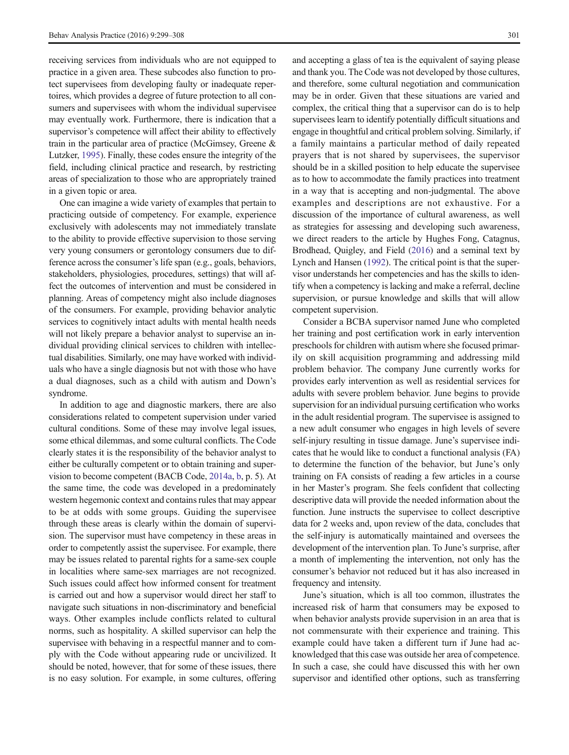receiving services from individuals who are not equipped to practice in a given area. These subcodes also function to protect supervisees from developing faulty or inadequate repertoires, which provides a degree of future protection to all consumers and supervisees with whom the individual supervisee may eventually work. Furthermore, there is indication that a supervisor's competence will affect their ability to effectively train in the particular area of practice (McGimsey, Greene & Lutzker, [1995\)](#page-8-0). Finally, these codes ensure the integrity of the field, including clinical practice and research, by restricting areas of specialization to those who are appropriately trained in a given topic or area.

One can imagine a wide variety of examples that pertain to practicing outside of competency. For example, experience exclusively with adolescents may not immediately translate to the ability to provide effective supervision to those serving very young consumers or gerontology consumers due to difference across the consumer's life span (e.g., goals, behaviors, stakeholders, physiologies, procedures, settings) that will affect the outcomes of intervention and must be considered in planning. Areas of competency might also include diagnoses of the consumers. For example, providing behavior analytic services to cognitively intact adults with mental health needs will not likely prepare a behavior analyst to supervise an individual providing clinical services to children with intellectual disabilities. Similarly, one may have worked with individuals who have a single diagnosis but not with those who have a dual diagnoses, such as a child with autism and Down's syndrome.

In addition to age and diagnostic markers, there are also considerations related to competent supervision under varied cultural conditions. Some of these may involve legal issues, some ethical dilemmas, and some cultural conflicts. The Code clearly states it is the responsibility of the behavior analyst to either be culturally competent or to obtain training and supervision to become competent (BACB Code, [2014a,](#page-8-0) [b](#page-8-0), p. 5). At the same time, the code was developed in a predominately western hegemonic context and contains rules that may appear to be at odds with some groups. Guiding the supervisee through these areas is clearly within the domain of supervision. The supervisor must have competency in these areas in order to competently assist the supervisee. For example, there may be issues related to parental rights for a same-sex couple in localities where same-sex marriages are not recognized. Such issues could affect how informed consent for treatment is carried out and how a supervisor would direct her staff to navigate such situations in non-discriminatory and beneficial ways. Other examples include conflicts related to cultural norms, such as hospitality. A skilled supervisor can help the supervisee with behaving in a respectful manner and to comply with the Code without appearing rude or uncivilized. It should be noted, however, that for some of these issues, there is no easy solution. For example, in some cultures, offering

and accepting a glass of tea is the equivalent of saying please and thank you. The Code was not developed by those cultures, and therefore, some cultural negotiation and communication may be in order. Given that these situations are varied and complex, the critical thing that a supervisor can do is to help supervisees learn to identify potentially difficult situations and engage in thoughtful and critical problem solving. Similarly, if a family maintains a particular method of daily repeated prayers that is not shared by supervisees, the supervisor should be in a skilled position to help educate the supervisee as to how to accommodate the family practices into treatment in a way that is accepting and non-judgmental. The above examples and descriptions are not exhaustive. For a discussion of the importance of cultural awareness, as well as strategies for assessing and developing such awareness, we direct readers to the article by Hughes Fong, Catagnus, Brodhead, Quigley, and Field ([2016](#page-8-0)) and a seminal text by Lynch and Hansen [\(1992\)](#page-8-0). The critical point is that the supervisor understands her competencies and has the skills to identify when a competency is lacking and make a referral, decline supervision, or pursue knowledge and skills that will allow competent supervision.

Consider a BCBA supervisor named June who completed her training and post certification work in early intervention preschools for children with autism where she focused primarily on skill acquisition programming and addressing mild problem behavior. The company June currently works for provides early intervention as well as residential services for adults with severe problem behavior. June begins to provide supervision for an individual pursuing certification who works in the adult residential program. The supervisee is assigned to a new adult consumer who engages in high levels of severe self-injury resulting in tissue damage. June's supervisee indicates that he would like to conduct a functional analysis (FA) to determine the function of the behavior, but June's only training on FA consists of reading a few articles in a course in her Master's program. She feels confident that collecting descriptive data will provide the needed information about the function. June instructs the supervisee to collect descriptive data for 2 weeks and, upon review of the data, concludes that the self-injury is automatically maintained and oversees the development of the intervention plan. To June's surprise, after a month of implementing the intervention, not only has the consumer's behavior not reduced but it has also increased in frequency and intensity.

June's situation, which is all too common, illustrates the increased risk of harm that consumers may be exposed to when behavior analysts provide supervision in an area that is not commensurate with their experience and training. This example could have taken a different turn if June had acknowledged that this case was outside her area of competence. In such a case, she could have discussed this with her own supervisor and identified other options, such as transferring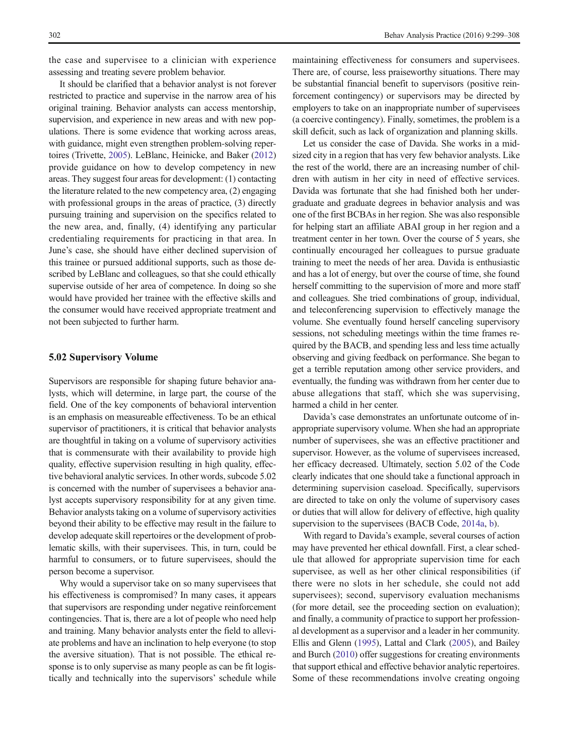the case and supervisee to a clinician with experience assessing and treating severe problem behavior.

It should be clarified that a behavior analyst is not forever restricted to practice and supervise in the narrow area of his original training. Behavior analysts can access mentorship, supervision, and experience in new areas and with new populations. There is some evidence that working across areas, with guidance, might even strengthen problem-solving repertoires (Trivette, [2005](#page-9-0)). LeBlanc, Heinicke, and Baker [\(2012\)](#page-8-0) provide guidance on how to develop competency in new areas. They suggest four areas for development: (1) contacting the literature related to the new competency area, (2) engaging with professional groups in the areas of practice, (3) directly pursuing training and supervision on the specifics related to the new area, and, finally, (4) identifying any particular credentialing requirements for practicing in that area. In June's case, she should have either declined supervision of this trainee or pursued additional supports, such as those described by LeBlanc and colleagues, so that she could ethically supervise outside of her area of competence. In doing so she would have provided her trainee with the effective skills and the consumer would have received appropriate treatment and not been subjected to further harm.

# 5.02 Supervisory Volume

Supervisors are responsible for shaping future behavior analysts, which will determine, in large part, the course of the field. One of the key components of behavioral intervention is an emphasis on measureable effectiveness. To be an ethical supervisor of practitioners, it is critical that behavior analysts are thoughtful in taking on a volume of supervisory activities that is commensurate with their availability to provide high quality, effective supervision resulting in high quality, effective behavioral analytic services. In other words, subcode 5.02 is concerned with the number of supervisees a behavior analyst accepts supervisory responsibility for at any given time. Behavior analysts taking on a volume of supervisory activities beyond their ability to be effective may result in the failure to develop adequate skill repertoires or the development of problematic skills, with their supervisees. This, in turn, could be harmful to consumers, or to future supervisees, should the person become a supervisor.

Why would a supervisor take on so many supervisees that his effectiveness is compromised? In many cases, it appears that supervisors are responding under negative reinforcement contingencies. That is, there are a lot of people who need help and training. Many behavior analysts enter the field to alleviate problems and have an inclination to help everyone (to stop the aversive situation). That is not possible. The ethical response is to only supervise as many people as can be fit logistically and technically into the supervisors' schedule while maintaining effectiveness for consumers and supervisees. There are, of course, less praiseworthy situations. There may be substantial financial benefit to supervisors (positive reinforcement contingency) or supervisors may be directed by employers to take on an inappropriate number of supervisees (a coercive contingency). Finally, sometimes, the problem is a skill deficit, such as lack of organization and planning skills.

Let us consider the case of Davida. She works in a midsized city in a region that has very few behavior analysts. Like the rest of the world, there are an increasing number of children with autism in her city in need of effective services. Davida was fortunate that she had finished both her undergraduate and graduate degrees in behavior analysis and was one of the first BCBAs in her region. She was also responsible for helping start an affiliate ABAI group in her region and a treatment center in her town. Over the course of 5 years, she continually encouraged her colleagues to pursue graduate training to meet the needs of her area. Davida is enthusiastic and has a lot of energy, but over the course of time, she found herself committing to the supervision of more and more staff and colleagues. She tried combinations of group, individual, and teleconferencing supervision to effectively manage the volume. She eventually found herself canceling supervisory sessions, not scheduling meetings within the time frames required by the BACB, and spending less and less time actually observing and giving feedback on performance. She began to get a terrible reputation among other service providers, and eventually, the funding was withdrawn from her center due to abuse allegations that staff, which she was supervising, harmed a child in her center.

Davida's case demonstrates an unfortunate outcome of inappropriate supervisory volume. When she had an appropriate number of supervisees, she was an effective practitioner and supervisor. However, as the volume of supervisees increased, her efficacy decreased. Ultimately, section 5.02 of the Code clearly indicates that one should take a functional approach in determining supervision caseload. Specifically, supervisors are directed to take on only the volume of supervisory cases or duties that will allow for delivery of effective, high quality supervision to the supervisees (BACB Code, [2014a](#page-8-0), [b](#page-8-0)).

With regard to Davida's example, several courses of action may have prevented her ethical downfall. First, a clear schedule that allowed for appropriate supervision time for each supervisee, as well as her other clinical responsibilities (if there were no slots in her schedule, she could not add supervisees); second, supervisory evaluation mechanisms (for more detail, see the proceeding section on evaluation); and finally, a community of practice to support her professional development as a supervisor and a leader in her community. Ellis and Glenn [\(1995\)](#page-8-0), Lattal and Clark [\(2005\)](#page-8-0), and Bailey and Burch ([2010](#page-8-0)) offer suggestions for creating environments that support ethical and effective behavior analytic repertoires. Some of these recommendations involve creating ongoing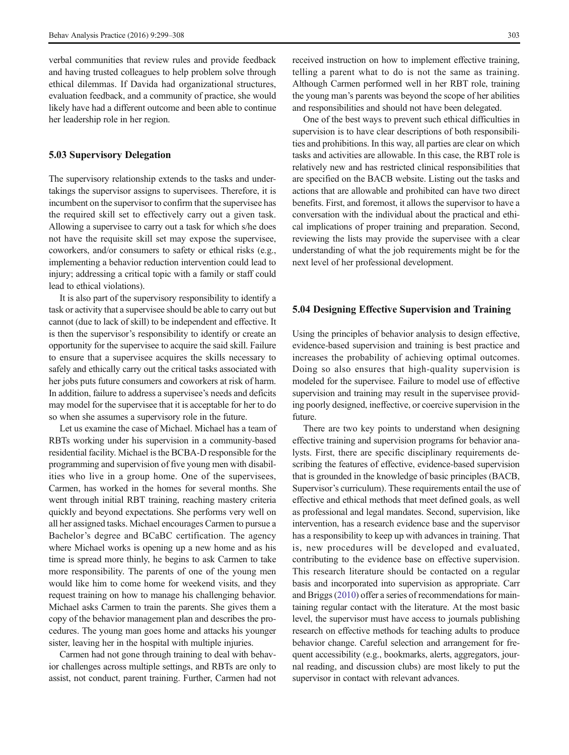verbal communities that review rules and provide feedback and having trusted colleagues to help problem solve through ethical dilemmas. If Davida had organizational structures, evaluation feedback, and a community of practice, she would likely have had a different outcome and been able to continue her leadership role in her region.

### 5.03 Supervisory Delegation

The supervisory relationship extends to the tasks and undertakings the supervisor assigns to supervisees. Therefore, it is incumbent on the supervisor to confirm that the supervisee has the required skill set to effectively carry out a given task. Allowing a supervisee to carry out a task for which s/he does not have the requisite skill set may expose the supervisee, coworkers, and/or consumers to safety or ethical risks (e.g., implementing a behavior reduction intervention could lead to injury; addressing a critical topic with a family or staff could lead to ethical violations).

It is also part of the supervisory responsibility to identify a task or activity that a supervisee should be able to carry out but cannot (due to lack of skill) to be independent and effective. It is then the supervisor's responsibility to identify or create an opportunity for the supervisee to acquire the said skill. Failure to ensure that a supervisee acquires the skills necessary to safely and ethically carry out the critical tasks associated with her jobs puts future consumers and coworkers at risk of harm. In addition, failure to address a supervisee's needs and deficits may model for the supervisee that it is acceptable for her to do so when she assumes a supervisory role in the future.

Let us examine the case of Michael. Michael has a team of RBTs working under his supervision in a community-based residential facility. Michael is the BCBA-D responsible for the programming and supervision of five young men with disabilities who live in a group home. One of the supervisees, Carmen, has worked in the homes for several months. She went through initial RBT training, reaching mastery criteria quickly and beyond expectations. She performs very well on all her assigned tasks. Michael encourages Carmen to pursue a Bachelor's degree and BCaBC certification. The agency where Michael works is opening up a new home and as his time is spread more thinly, he begins to ask Carmen to take more responsibility. The parents of one of the young men would like him to come home for weekend visits, and they request training on how to manage his challenging behavior. Michael asks Carmen to train the parents. She gives them a copy of the behavior management plan and describes the procedures. The young man goes home and attacks his younger sister, leaving her in the hospital with multiple injuries.

Carmen had not gone through training to deal with behavior challenges across multiple settings, and RBTs are only to assist, not conduct, parent training. Further, Carmen had not received instruction on how to implement effective training, telling a parent what to do is not the same as training. Although Carmen performed well in her RBT role, training the young man's parents was beyond the scope of her abilities and responsibilities and should not have been delegated.

One of the best ways to prevent such ethical difficulties in supervision is to have clear descriptions of both responsibilities and prohibitions. In this way, all parties are clear on which tasks and activities are allowable. In this case, the RBT role is relatively new and has restricted clinical responsibilities that are specified on the BACB website. Listing out the tasks and actions that are allowable and prohibited can have two direct benefits. First, and foremost, it allows the supervisor to have a conversation with the individual about the practical and ethical implications of proper training and preparation. Second, reviewing the lists may provide the supervisee with a clear understanding of what the job requirements might be for the next level of her professional development.

## 5.04 Designing Effective Supervision and Training

Using the principles of behavior analysis to design effective, evidence-based supervision and training is best practice and increases the probability of achieving optimal outcomes. Doing so also ensures that high-quality supervision is modeled for the supervisee. Failure to model use of effective supervision and training may result in the supervisee providing poorly designed, ineffective, or coercive supervision in the future.

There are two key points to understand when designing effective training and supervision programs for behavior analysts. First, there are specific disciplinary requirements describing the features of effective, evidence-based supervision that is grounded in the knowledge of basic principles (BACB, Supervisor's curriculum). These requirements entail the use of effective and ethical methods that meet defined goals, as well as professional and legal mandates. Second, supervision, like intervention, has a research evidence base and the supervisor has a responsibility to keep up with advances in training. That is, new procedures will be developed and evaluated, contributing to the evidence base on effective supervision. This research literature should be contacted on a regular basis and incorporated into supervision as appropriate. Carr and Briggs [\(2010\)](#page-8-0) offer a series of recommendations for maintaining regular contact with the literature. At the most basic level, the supervisor must have access to journals publishing research on effective methods for teaching adults to produce behavior change. Careful selection and arrangement for frequent accessibility (e.g., bookmarks, alerts, aggregators, journal reading, and discussion clubs) are most likely to put the supervisor in contact with relevant advances.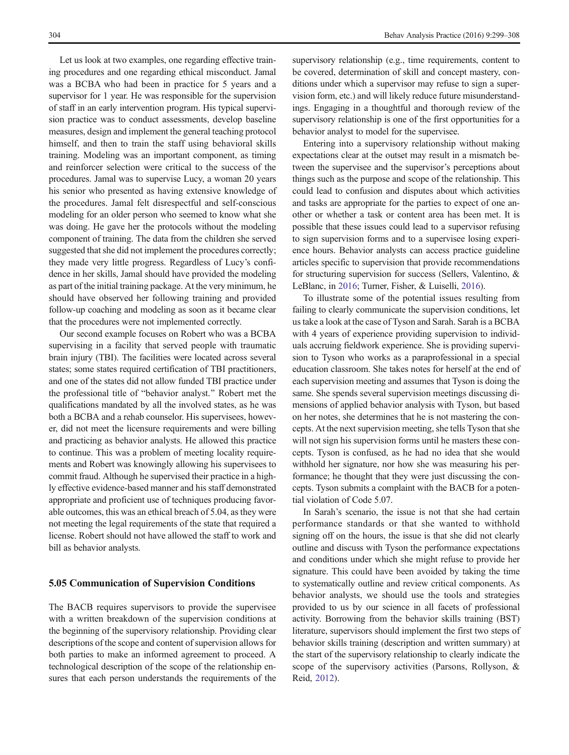Let us look at two examples, one regarding effective training procedures and one regarding ethical misconduct. Jamal was a BCBA who had been in practice for 5 years and a supervisor for 1 year. He was responsible for the supervision of staff in an early intervention program. His typical supervision practice was to conduct assessments, develop baseline measures, design and implement the general teaching protocol himself, and then to train the staff using behavioral skills training. Modeling was an important component, as timing and reinforcer selection were critical to the success of the procedures. Jamal was to supervise Lucy, a woman 20 years his senior who presented as having extensive knowledge of the procedures. Jamal felt disrespectful and self-conscious modeling for an older person who seemed to know what she was doing. He gave her the protocols without the modeling component of training. The data from the children she served suggested that she did not implement the procedures correctly; they made very little progress. Regardless of Lucy's confidence in her skills, Jamal should have provided the modeling as part of the initial training package. At the very minimum, he should have observed her following training and provided follow-up coaching and modeling as soon as it became clear that the procedures were not implemented correctly.

Our second example focuses on Robert who was a BCBA supervising in a facility that served people with traumatic brain injury (TBI). The facilities were located across several states; some states required certification of TBI practitioners, and one of the states did not allow funded TBI practice under the professional title of "behavior analyst." Robert met the qualifications mandated by all the involved states, as he was both a BCBA and a rehab counselor. His supervisees, however, did not meet the licensure requirements and were billing and practicing as behavior analysts. He allowed this practice to continue. This was a problem of meeting locality requirements and Robert was knowingly allowing his supervisees to commit fraud. Although he supervised their practice in a highly effective evidence-based manner and his staff demonstrated appropriate and proficient use of techniques producing favorable outcomes, this was an ethical breach of 5.04, as they were not meeting the legal requirements of the state that required a license. Robert should not have allowed the staff to work and bill as behavior analysts.

#### 5.05 Communication of Supervision Conditions

The BACB requires supervisors to provide the supervisee with a written breakdown of the supervision conditions at the beginning of the supervisory relationship. Providing clear descriptions of the scope and content of supervision allows for both parties to make an informed agreement to proceed. A technological description of the scope of the relationship ensures that each person understands the requirements of the supervisory relationship (e.g., time requirements, content to be covered, determination of skill and concept mastery, conditions under which a supervisor may refuse to sign a supervision form, etc.) and will likely reduce future misunderstandings. Engaging in a thoughtful and thorough review of the supervisory relationship is one of the first opportunities for a behavior analyst to model for the supervisee.

Entering into a supervisory relationship without making expectations clear at the outset may result in a mismatch between the supervisee and the supervisor's perceptions about things such as the purpose and scope of the relationship. This could lead to confusion and disputes about which activities and tasks are appropriate for the parties to expect of one another or whether a task or content area has been met. It is possible that these issues could lead to a supervisor refusing to sign supervision forms and to a supervisee losing experience hours. Behavior analysts can access practice guideline articles specific to supervision that provide recommendations for structuring supervision for success (Sellers, Valentino, & LeBlanc, in [2016;](#page-9-0) Turner, Fisher, & Luiselli, [2016\)](#page-9-0).

To illustrate some of the potential issues resulting from failing to clearly communicate the supervision conditions, let us take a look at the case of Tyson and Sarah. Sarah is a BCBA with 4 years of experience providing supervision to individuals accruing fieldwork experience. She is providing supervision to Tyson who works as a paraprofessional in a special education classroom. She takes notes for herself at the end of each supervision meeting and assumes that Tyson is doing the same. She spends several supervision meetings discussing dimensions of applied behavior analysis with Tyson, but based on her notes, she determines that he is not mastering the concepts. At the next supervision meeting, she tells Tyson that she will not sign his supervision forms until he masters these concepts. Tyson is confused, as he had no idea that she would withhold her signature, nor how she was measuring his performance; he thought that they were just discussing the concepts. Tyson submits a complaint with the BACB for a potential violation of Code 5.07.

In Sarah's scenario, the issue is not that she had certain performance standards or that she wanted to withhold signing off on the hours, the issue is that she did not clearly outline and discuss with Tyson the performance expectations and conditions under which she might refuse to provide her signature. This could have been avoided by taking the time to systematically outline and review critical components. As behavior analysts, we should use the tools and strategies provided to us by our science in all facets of professional activity. Borrowing from the behavior skills training (BST) literature, supervisors should implement the first two steps of behavior skills training (description and written summary) at the start of the supervisory relationship to clearly indicate the scope of the supervisory activities (Parsons, Rollyson, & Reid, [2012\)](#page-8-0).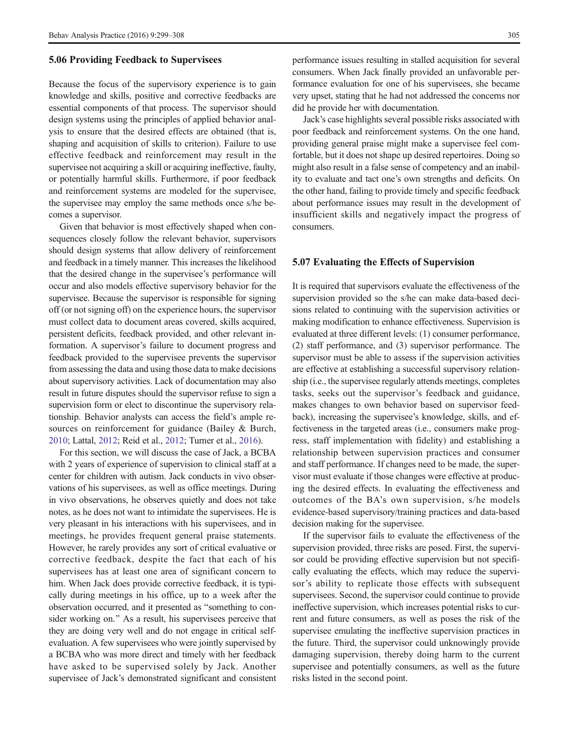#### 5.06 Providing Feedback to Supervisees

Because the focus of the supervisory experience is to gain knowledge and skills, positive and corrective feedbacks are essential components of that process. The supervisor should design systems using the principles of applied behavior analysis to ensure that the desired effects are obtained (that is, shaping and acquisition of skills to criterion). Failure to use effective feedback and reinforcement may result in the supervisee not acquiring a skill or acquiring ineffective, faulty, or potentially harmful skills. Furthermore, if poor feedback and reinforcement systems are modeled for the supervisee, the supervisee may employ the same methods once s/he becomes a supervisor.

Given that behavior is most effectively shaped when consequences closely follow the relevant behavior, supervisors should design systems that allow delivery of reinforcement and feedback in a timely manner. This increases the likelihood that the desired change in the supervisee's performance will occur and also models effective supervisory behavior for the supervisee. Because the supervisor is responsible for signing off (or not signing off) on the experience hours, the supervisor must collect data to document areas covered, skills acquired, persistent deficits, feedback provided, and other relevant information. A supervisor's failure to document progress and feedback provided to the supervisee prevents the supervisor from assessing the data and using those data to make decisions about supervisory activities. Lack of documentation may also result in future disputes should the supervisor refuse to sign a supervision form or elect to discontinue the supervisory relationship. Behavior analysts can access the field's ample resources on reinforcement for guidance (Bailey & Burch, [2010;](#page-8-0) Lattal, [2012;](#page-8-0) Reid et al., [2012;](#page-8-0) Turner et al., [2016\)](#page-9-0).

For this section, we will discuss the case of Jack, a BCBA with 2 years of experience of supervision to clinical staff at a center for children with autism. Jack conducts in vivo observations of his supervisees, as well as office meetings. During in vivo observations, he observes quietly and does not take notes, as he does not want to intimidate the supervisees. He is very pleasant in his interactions with his supervisees, and in meetings, he provides frequent general praise statements. However, he rarely provides any sort of critical evaluative or corrective feedback, despite the fact that each of his supervisees has at least one area of significant concern to him. When Jack does provide corrective feedback, it is typically during meetings in his office, up to a week after the observation occurred, and it presented as "something to consider working on." As a result, his supervisees perceive that they are doing very well and do not engage in critical selfevaluation. A few supervisees who were jointly supervised by a BCBA who was more direct and timely with her feedback have asked to be supervised solely by Jack. Another supervisee of Jack's demonstrated significant and consistent

performance issues resulting in stalled acquisition for several consumers. When Jack finally provided an unfavorable performance evaluation for one of his supervisees, she became very upset, stating that he had not addressed the concerns nor did he provide her with documentation.

Jack's case highlights several possible risks associated with poor feedback and reinforcement systems. On the one hand, providing general praise might make a supervisee feel comfortable, but it does not shape up desired repertoires. Doing so might also result in a false sense of competency and an inability to evaluate and tact one's own strengths and deficits. On the other hand, failing to provide timely and specific feedback about performance issues may result in the development of insufficient skills and negatively impact the progress of consumers.

## 5.07 Evaluating the Effects of Supervision

It is required that supervisors evaluate the effectiveness of the supervision provided so the s/he can make data-based decisions related to continuing with the supervision activities or making modification to enhance effectiveness. Supervision is evaluated at three different levels: (1) consumer performance, (2) staff performance, and (3) supervisor performance. The supervisor must be able to assess if the supervision activities are effective at establishing a successful supervisory relationship (i.e., the supervisee regularly attends meetings, completes tasks, seeks out the supervisor's feedback and guidance, makes changes to own behavior based on supervisor feedback), increasing the supervisee's knowledge, skills, and effectiveness in the targeted areas (i.e., consumers make progress, staff implementation with fidelity) and establishing a relationship between supervision practices and consumer and staff performance. If changes need to be made, the supervisor must evaluate if those changes were effective at producing the desired effects. In evaluating the effectiveness and outcomes of the BA's own supervision, s/he models evidence-based supervisory/training practices and data-based decision making for the supervisee.

If the supervisor fails to evaluate the effectiveness of the supervision provided, three risks are posed. First, the supervisor could be providing effective supervision but not specifically evaluating the effects, which may reduce the supervisor's ability to replicate those effects with subsequent supervisees. Second, the supervisor could continue to provide ineffective supervision, which increases potential risks to current and future consumers, as well as poses the risk of the supervisee emulating the ineffective supervision practices in the future. Third, the supervisor could unknowingly provide damaging supervision, thereby doing harm to the current supervisee and potentially consumers, as well as the future risks listed in the second point.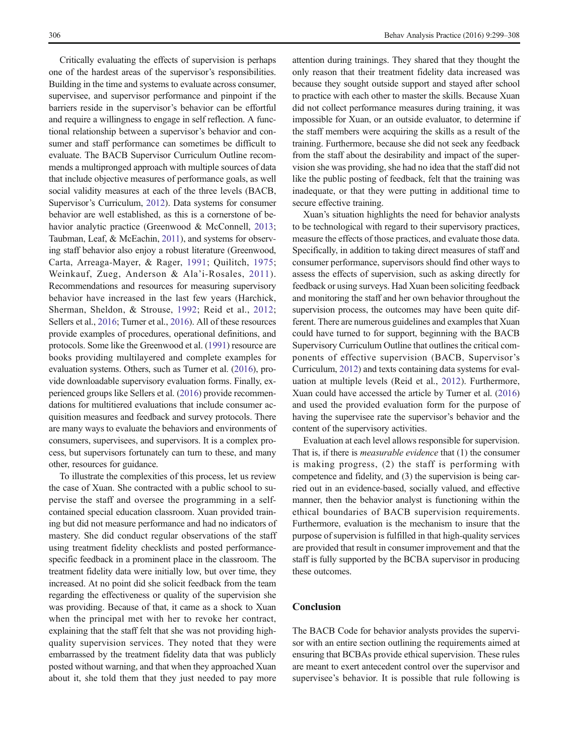Critically evaluating the effects of supervision is perhaps one of the hardest areas of the supervisor's responsibilities. Building in the time and systems to evaluate across consumer, supervisee, and supervisor performance and pinpoint if the barriers reside in the supervisor's behavior can be effortful and require a willingness to engage in self reflection. A functional relationship between a supervisor's behavior and consumer and staff performance can sometimes be difficult to evaluate. The BACB Supervisor Curriculum Outline recommends a multipronged approach with multiple sources of data that include objective measures of performance goals, as well social validity measures at each of the three levels (BACB, Supervisor's Curriculum, [2012\)](#page-8-0). Data systems for consumer behavior are well established, as this is a cornerstone of be-havior analytic practice (Greenwood & McConnell, [2013](#page-8-0); Taubman, Leaf, & McEachin, [2011\)](#page-9-0), and systems for observing staff behavior also enjoy a robust literature (Greenwood, Carta, Arreaga-Mayer, & Rager, [1991;](#page-8-0) Quilitch, [1975](#page-8-0); Weinkauf, Zueg, Anderson & Ala'i-Rosales, [2011\)](#page-9-0). Recommendations and resources for measuring supervisory behavior have increased in the last few years (Harchick, Sherman, Sheldon, & Strouse, [1992](#page-8-0); Reid et al., [2012](#page-8-0); Sellers et al., [2016](#page-9-0); Turner et al., [2016\)](#page-9-0). All of these resources provide examples of procedures, operational definitions, and protocols. Some like the Greenwood et al. ([1991](#page-8-0)) resource are books providing multilayered and complete examples for evaluation systems. Others, such as Turner et al. [\(2016\)](#page-9-0), provide downloadable supervisory evaluation forms. Finally, experienced groups like Sellers et al. [\(2016\)](#page-9-0) provide recommendations for multitiered evaluations that include consumer acquisition measures and feedback and survey protocols. There are many ways to evaluate the behaviors and environments of consumers, supervisees, and supervisors. It is a complex process, but supervisors fortunately can turn to these, and many other, resources for guidance.

To illustrate the complexities of this process, let us review the case of Xuan. She contracted with a public school to supervise the staff and oversee the programming in a selfcontained special education classroom. Xuan provided training but did not measure performance and had no indicators of mastery. She did conduct regular observations of the staff using treatment fidelity checklists and posted performancespecific feedback in a prominent place in the classroom. The treatment fidelity data were initially low, but over time, they increased. At no point did she solicit feedback from the team regarding the effectiveness or quality of the supervision she was providing. Because of that, it came as a shock to Xuan when the principal met with her to revoke her contract, explaining that the staff felt that she was not providing highquality supervision services. They noted that they were embarrassed by the treatment fidelity data that was publicly posted without warning, and that when they approached Xuan about it, she told them that they just needed to pay more

attention during trainings. They shared that they thought the only reason that their treatment fidelity data increased was because they sought outside support and stayed after school to practice with each other to master the skills. Because Xuan did not collect performance measures during training, it was impossible for Xuan, or an outside evaluator, to determine if the staff members were acquiring the skills as a result of the training. Furthermore, because she did not seek any feedback from the staff about the desirability and impact of the supervision she was providing, she had no idea that the staff did not like the public posting of feedback, felt that the training was inadequate, or that they were putting in additional time to secure effective training.

Xuan's situation highlights the need for behavior analysts to be technological with regard to their supervisory practices, measure the effects of those practices, and evaluate those data. Specifically, in addition to taking direct measures of staff and consumer performance, supervisors should find other ways to assess the effects of supervision, such as asking directly for feedback or using surveys. Had Xuan been soliciting feedback and monitoring the staff and her own behavior throughout the supervision process, the outcomes may have been quite different. There are numerous guidelines and examples that Xuan could have turned to for support, beginning with the BACB Supervisory Curriculum Outline that outlines the critical components of effective supervision (BACB, Supervisor's Curriculum, [2012\)](#page-8-0) and texts containing data systems for evaluation at multiple levels (Reid et al., [2012\)](#page-8-0). Furthermore, Xuan could have accessed the article by Turner et al. [\(2016](#page-9-0)) and used the provided evaluation form for the purpose of having the supervisee rate the supervisor's behavior and the content of the supervisory activities.

Evaluation at each level allows responsible for supervision. That is, if there is measurable evidence that (1) the consumer is making progress, (2) the staff is performing with competence and fidelity, and (3) the supervision is being carried out in an evidence-based, socially valued, and effective manner, then the behavior analyst is functioning within the ethical boundaries of BACB supervision requirements. Furthermore, evaluation is the mechanism to insure that the purpose of supervision is fulfilled in that high-quality services are provided that result in consumer improvement and that the staff is fully supported by the BCBA supervisor in producing these outcomes.

# Conclusion

The BACB Code for behavior analysts provides the supervisor with an entire section outlining the requirements aimed at ensuring that BCBAs provide ethical supervision. These rules are meant to exert antecedent control over the supervisor and supervisee's behavior. It is possible that rule following is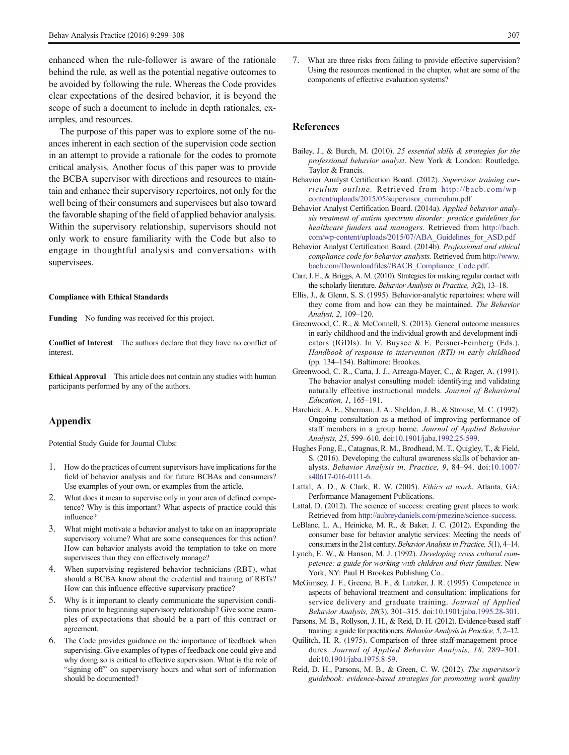<span id="page-8-0"></span>enhanced when the rule-follower is aware of the rationale behind the rule, as well as the potential negative outcomes to be avoided by following the rule. Whereas the Code provides clear expectations of the desired behavior, it is beyond the scope of such a document to include in depth rationales, examples, and resources.

The purpose of this paper was to explore some of the nuances inherent in each section of the supervision code section in an attempt to provide a rationale for the codes to promote critical analysis. Another focus of this paper was to provide the BCBA supervisor with directions and resources to maintain and enhance their supervisory repertoires, not only for the well being of their consumers and supervisees but also toward the favorable shaping of the field of applied behavior analysis. Within the supervisory relationship, supervisors should not only work to ensure familiarity with the Code but also to engage in thoughtful analysis and conversations with supervisees.

#### Compliance with Ethical Standards

Funding No funding was received for this project.

Conflict of Interest The authors declare that they have no conflict of interest.

Ethical Approval This article does not contain any studies with human participants performed by any of the authors.

# Appendix

Potential Study Guide for Journal Clubs:

- 1. How do the practices of current supervisors have implications for the field of behavior analysis and for future BCBAs and consumers? Use examples of your own, or examples from the article.
- 2. What does it mean to supervise only in your area of defined competence? Why is this important? What aspects of practice could this influence?
- 3. What might motivate a behavior analyst to take on an inappropriate supervisory volume? What are some consequences for this action? How can behavior analysts avoid the temptation to take on more supervisees than they can effectively manage?
- 4. When supervising registered behavior technicians (RBT), what should a BCBA know about the credential and training of RBTs? How can this influence effective supervisory practice?
- 5. Why is it important to clearly communicate the supervision conditions prior to beginning supervisory relationship? Give some examples of expectations that should be a part of this contract or agreement.
- 6. The Code provides guidance on the importance of feedback when supervising. Give examples of types of feedback one could give and why doing so is critical to effective supervision. What is the role of "signing off" on supervisory hours and what sort of information should be documented?

7. What are three risks from failing to provide effective supervision? Using the resources mentioned in the chapter, what are some of the components of effective evaluation systems?

# References

- Bailey, J., & Burch, M. (2010). 25 essential skills & strategies for the professional behavior analyst. New York & London: Routledge, Taylor & Francis.
- Behavior Analyst Certification Board. (2012). Supervisor training curriculum outline. Retrieved from [http://bacb.com/wp](http://bacb.com/wp-content/uploads/2015/05/supervisor_curriculum.pdf)[content/uploads/2015/05/supervisor\\_curriculum.pdf](http://bacb.com/wp-content/uploads/2015/05/supervisor_curriculum.pdf)
- Behavior Analyst Certification Board. (2014a). Applied behavior analysis treatment of autism spectrum disorder: practice guidelines for healthcare funders and managers. Retrieved from [http://bacb.](http://bacb.com/wp-content/uploads/2015/07/ABA_Guidelines_for_ASD.pdf) [com/wp-content/uploads/2015/07/ABA\\_Guidelines\\_for\\_ASD.pdf](http://bacb.com/wp-content/uploads/2015/07/ABA_Guidelines_for_ASD.pdf)
- Behavior Analyst Certification Board. (2014b). Professional and ethical compliance code for behavior analysts. Retrieved from [http://www.](http://www.bacb.com/Downloadfiles//BACB_Compliance_Code.pdf) [bacb.com/Downloadfiles//BACB\\_Compliance\\_Code.pdf](http://www.bacb.com/Downloadfiles//BACB_Compliance_Code.pdf).
- Carr, J. E., & Briggs, A. M. (2010). Strategies for making regular contact with the scholarly literature. Behavior Analysis in Practice, 3(2), 13–18.
- Ellis, J., & Glenn, S. S. (1995). Behavior-analytic repertoires: where will they come from and how can they be maintained. The Behavior Analyst, 2, 109–120.
- Greenwood, C. R., & McConnell, S. (2013). General outcome measures in early childhood and the individual growth and development indicators (IGDIs). In V. Buysee & E. Peisner-Feinberg (Eds.), Handbook of response to intervention (RTI) in early childhood (pp. 134–154). Baltimore: Brookes.
- Greenwood, C. R., Carta, J. J., Arreaga-Mayer, C., & Rager, A. (1991). The behavior analyst consulting model: identifying and validating naturally effective instructional models. Journal of Behavioral Education, 1, 165–191.
- Harchick, A. E., Sherman, J. A., Sheldon, J. B., & Strouse, M. C. (1992). Ongoing consultation as a method of improving performance of staff members in a group home. Journal of Applied Behavior Analysis, 25, 599–610. doi[:10.1901/jaba.1992.25-599.](http://dx.doi.org/10.1901/jaba.1992.25-599)
- Hughes Fong, E., Catagnus, R. M., Brodhead, M. T., Quigley, T., & Field, S. (2016). Developing the cultural awareness skills of behavior analysts. Behavior Analysis in. Practice, 9, 84–94. doi:[10.1007/](http://dx.doi.org/10.1007/s40617-016-0111-6) [s40617-016-0111-6](http://dx.doi.org/10.1007/s40617-016-0111-6).
- Lattal, A. D., & Clark, R. W. (2005). Ethics at work. Atlanta, GA: Performance Management Publications.
- Lattal, D. (2012). The science of success: creating great places to work. Retrieved from [http://aubreydaniels.com/pmezine/science-success.](http://aubreydaniels.com/pmezine/science-success)
- LeBlanc, L. A., Heinicke, M. R., & Baker, J. C. (2012). Expanding the consumer base for behavior analytic services: Meeting the needs of consumers in the 21st century. Behavior Analysis in Practice, 5(1), 4–14.
- Lynch, E. W., & Hanson, M. J. (1992). Developing cross cultural competence: a guide for working with children and their families. New York, NY: Paul H Brookes Publishing Co..
- McGimsey, J. F., Greene, B. F., & Lutzker, J. R. (1995). Competence in aspects of behavioral treatment and consultation: implications for service delivery and graduate training. Journal of Applied Behavior Analysis, 28(3), 301–315. doi[:10.1901/jaba.1995.28-301.](http://dx.doi.org/10.1901/jaba.1995.28-301)
- Parsons, M. B., Rollyson, J. H., & Reid, D. H. (2012). Evidence-based staff training: a guide for practitioners. Behavior Analysis in Practice, 5, 2–12.
- Quilitch, H. R. (1975). Comparison of three staff-management procedures. Journal of Applied Behavior Analysis, 18, 289–301. doi:[10.1901/jaba.1975.8-59.](http://dx.doi.org/10.1901/jaba.1975.8-59)
- Reid, D. H., Parsons, M. B., & Green, C. W. (2012). The supervisor's guidebook: evidence-based strategies for promoting work quality